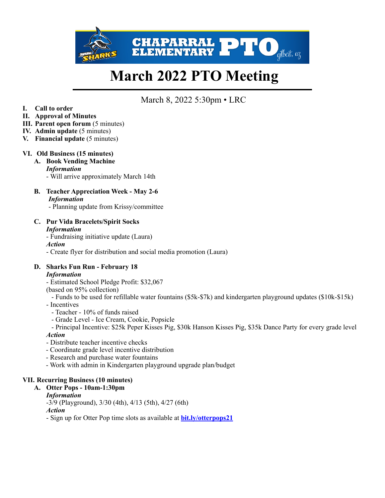

# **March 2022 PTO Meeting**

March 8, 2022 5:30pm • LRC

- **I. Call to order**
- **II. Approval of Minutes**
- **III. Parent open forum** (5 minutes)
- **IV. Admin update** (5 minutes)
- **V. Financial update** (5 minutes)

### **VI. Old Business (15 minutes)**

- **A. Book Vending Machine** 
	- *Information*
	- Will arrive approximately March 14th
- **B. Teacher Appreciation Week May 2-6** *Information* 
	- Planning update from Krissy/committee
- **C. Pur Vida Bracelets/Spirit Socks**  *Information*

- Fundraising initiative update (Laura) *Action* - Create flyer for distribution and social media promotion (Laura)

- **D. Sharks Fun Run February 18**  *Information*
	- Estimated School Pledge Profit: \$32,067
	- (based on 95% collection)
	- Funds to be used for refillable water fountains (\$5k-\$7k) and kindergarten playground updates (\$10k-\$15k)
	- Incentives
		- Teacher 10% of funds raised
		- Grade Level Ice Cream, Cookie, Popsicle

 - Principal Incentive: \$25k Peper Kisses Pig, \$30k Hanson Kisses Pig, \$35k Dance Party for every grade level *Action*

- Distribute teacher incentive checks
- Coordinate grade level incentive distribution
- Research and purchase water fountains
- Work with admin in Kindergarten playground upgrade plan/budget

### **VII. Recurring Business (10 minutes)**

**A. Otter Pops - 10am-1:30pm** 

### *Information*

-3/9 (Playground), 3/30 (4th), 4/13 (5th), 4/27 (6th) *Action*

- Sign up for Otter Pop time slots as available at **[bit.ly/otterpops21](http://bit.ly/otterpops21)**